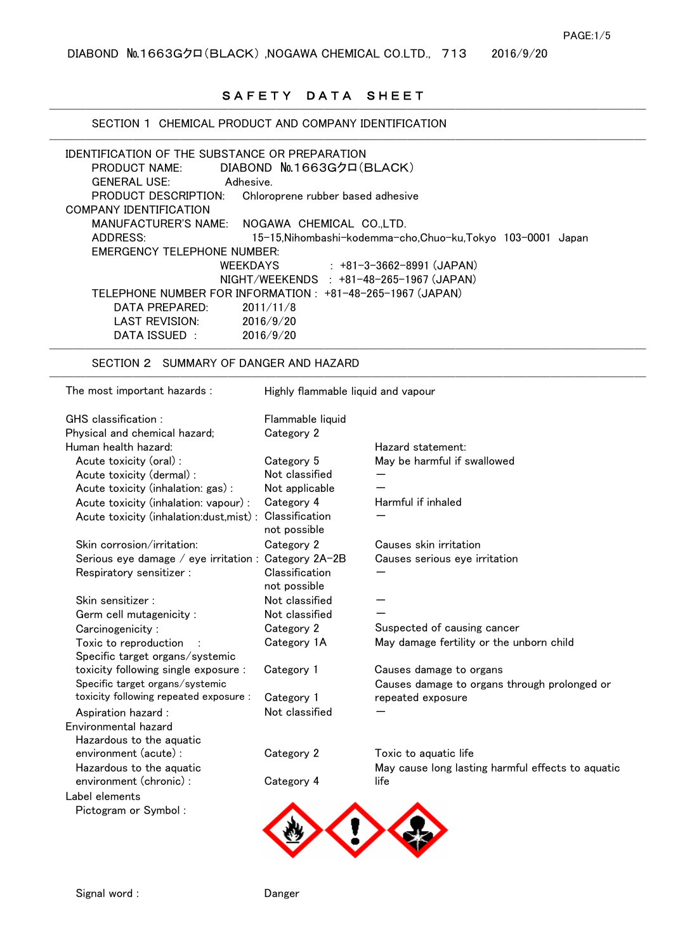# SAFETY DATA SHEET

──────────────────────────────────────

| IDENTIFICATION OF THE SUBSTANCE OR PREPARATION<br><b>PRODUCT NAME:</b> | DIABOND No.1663Gクロ(BLACK)          |                                                              |
|------------------------------------------------------------------------|------------------------------------|--------------------------------------------------------------|
| <b>GENERAL USE:</b><br>Adhesive.                                       |                                    |                                                              |
| PRODUCT DESCRIPTION:                                                   | Chloroprene rubber based adhesive  |                                                              |
| <b>COMPANY IDENTIFICATION</b>                                          |                                    |                                                              |
| <b>MANUFACTURER'S NAME:</b>                                            | NOGAWA CHEMICAL CO.,LTD.           |                                                              |
| ADDRESS:                                                               |                                    | 15-15, Nihombashi-kodemma-cho, Chuo-ku, Tokyo 103-0001 Japan |
| <b>EMERGENCY TELEPHONE NUMBER:</b>                                     |                                    |                                                              |
| <b>WEEKDAYS</b>                                                        |                                    | $: +81 - 3 - 3662 - 8991$ (JAPAN)                            |
|                                                                        |                                    | NIGHT/WEEKENDS : +81-48-265-1967 (JAPAN)                     |
| TELEPHONE NUMBER FOR INFORMATION : +81-48-265-1967 (JAPAN)             |                                    |                                                              |
| DATA PREPARED:                                                         | 2011/11/8                          |                                                              |
| <b>LAST REVISION:</b>                                                  | 2016/9/20                          |                                                              |
| DATA ISSUED :                                                          | 2016/9/20                          |                                                              |
| SECTION 2 SUMMARY OF DANGER AND HAZARD                                 |                                    |                                                              |
| The most important hazards :                                           | Highly flammable liquid and vapour |                                                              |
| GHS classification :                                                   | Flammable liquid                   |                                                              |
| Physical and chemical hazard;                                          | Category 2                         |                                                              |
| Human health hazard:                                                   |                                    | Hazard statement:                                            |
| Acute toxicity (oral) :                                                | Category 5                         | May be harmful if swallowed                                  |
| Acute toxicity (dermal) :                                              | Not classified                     |                                                              |
| Acute toxicity (inhalation: gas):                                      | Not applicable                     |                                                              |
| Acute toxicity (inhalation: vapour) :                                  | Category 4                         | Harmful if inhaled                                           |
| Acute toxicity (inhalation: dust, mist) :                              | Classification                     |                                                              |
|                                                                        | not possible                       |                                                              |
| Skin corrosion/irritation:                                             | Category 2                         | Causes skin irritation                                       |
| Serious eye damage / eye irritation : Category 2A-2B                   |                                    | Causes serious eye irritation                                |
| Respiratory sensitizer :                                               | Classification<br>not possible     |                                                              |
| Skin sensitizer:                                                       | Not classified                     |                                                              |
| Germ cell mutagenicity :                                               | Not classified                     |                                                              |
| Carcinogenicity:                                                       | Category 2                         | Suspected of causing cancer                                  |
| Toxic to reproduction                                                  | Category 1A                        | May damage fertility or the unborn child                     |
| Specific target organs/systemic                                        |                                    |                                                              |
| toxicity following single exposure :                                   | Category 1                         | Causes damage to organs                                      |
| Specific target organs/systemic                                        |                                    | Causes damage to organs through prolonged or                 |
| toxicity following repeated exposure :                                 | Category 1                         | repeated exposure                                            |
| Aspiration hazard :                                                    | Not classified                     |                                                              |
| Environmental hazard                                                   |                                    |                                                              |
| Hazardous to the aquatic                                               |                                    |                                                              |
| environment (acute) :                                                  | Category 2                         | Toxic to aquatic life                                        |
| Hazardous to the aquatic                                               |                                    | May cause long lasting harmful effects to aquatic            |
| environment (chronic) :                                                | Category 4                         | life                                                         |
| Label elements                                                         |                                    |                                                              |
| Pictogram or Symbol:                                                   |                                    |                                                              |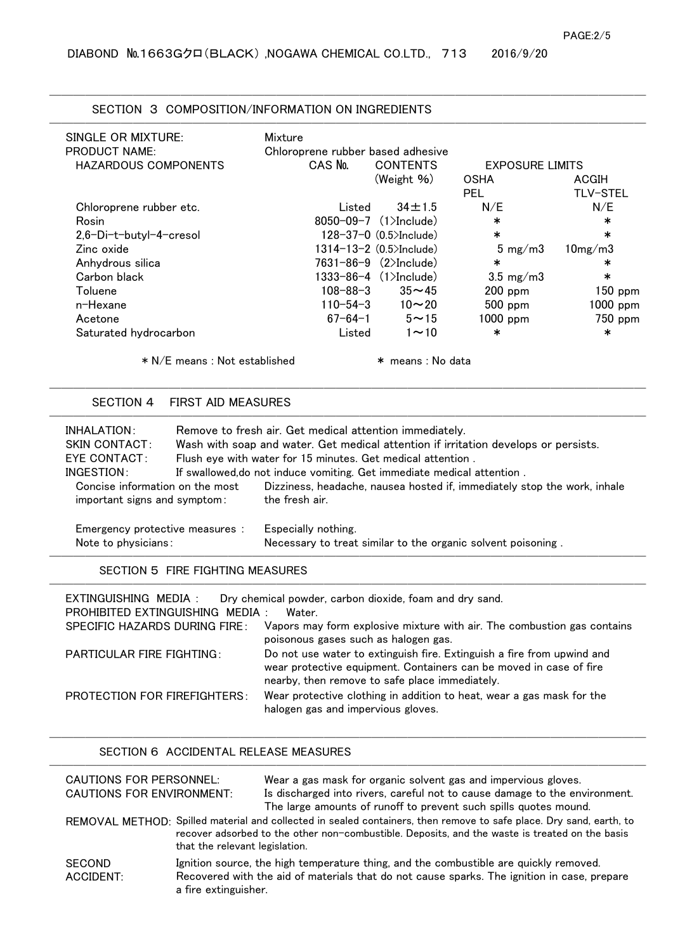## SECTION 3 COMPOSITION/INFORMATION ON INGREDIENTS

| SINGLE OR MIXTURE:          | Mixture                           |                                |                            |                 |
|-----------------------------|-----------------------------------|--------------------------------|----------------------------|-----------------|
| <b>PRODUCT NAME:</b>        | Chloroprene rubber based adhesive |                                |                            |                 |
| <b>HAZARDOUS COMPONENTS</b> | CAS No.                           | <b>CONTENTS</b>                | <b>EXPOSURE LIMITS</b>     |                 |
|                             |                                   | (Weight $%$ )                  | <b>OSHA</b>                | ACGIH           |
|                             |                                   |                                | <b>PEL</b>                 | <b>TLV-STEL</b> |
| Chloroprene rubber etc.     | Listed                            | $34 \pm 1.5$                   | N/E                        | N/E             |
| Rosin                       |                                   | 8050-09-7 $(1)$ Include)       | $\ast$                     | $\ast$          |
| 2,6-Di-t-butyl-4-cresol     |                                   | $128 - 37 - 0$ (0.5>Include)   | $\ast$                     | $\ast$          |
| Zinc oxide                  |                                   | $1314 - 13 - 2$ (0.5>Include)  | $5 \text{ mg}/\text{m}3$   | $10$ mg/m $3$   |
| Anhydrous silica            |                                   | $7631 - 86 - 9$ $(2)$ Include) | $\ast$                     | ∗               |
| Carbon black                |                                   | $1333 - 86 - 4$ $(1)$ Include) | $3.5 \text{ mg}/\text{m}3$ | $\ast$          |
| Toluene                     | $108 - 88 - 3$                    | $35 - 45$                      | $200$ ppm                  | $150$ ppm       |
| n-Hexane                    | $110 - 54 - 3$                    | $10 - 20$                      | $500$ ppm                  | $1000$ ppm      |
| Acetone                     | 67-64-1                           | $5 - 15$                       | $1000$ ppm                 | 750 ppm         |
| Saturated hydrocarbon       | Listed                            | $1 - 10$                       | $\ast$                     | $\ast$          |

──────────────────────────────────────

## SECTION 4 FIRST AID MEASURES

| INHALATION:                                                     |  | Remove to fresh air. Get medical attention immediately.                                    |  |  |
|-----------------------------------------------------------------|--|--------------------------------------------------------------------------------------------|--|--|
| <b>SKIN CONTACT:</b>                                            |  | Wash with soap and water. Get medical attention if irritation develops or persists.        |  |  |
| EYE CONTACT:                                                    |  | Flush eye with water for 15 minutes. Get medical attention.                                |  |  |
| INGESTION:                                                      |  | If swallowed, do not induce vomiting. Get immediate medical attention.                     |  |  |
| Concise information on the most<br>important signs and symptom: |  | Dizziness, headache, nausea hosted if, immediately stop the work, inhale<br>the fresh air. |  |  |
| Emergency protective measures :                                 |  | Especially nothing.                                                                        |  |  |
| Note to physicians:                                             |  | Necessary to treat similar to the organic solvent poisoning.                               |  |  |

──────────────────────────────────────────────────

──────────────────────────────────────────────────

SECTION 5 FIRE FIGHTING MEASURES

| EXTINGUISHING MEDIA :               | Dry chemical powder, carbon dioxide, foam and dry sand.                                                                                                                                        |
|-------------------------------------|------------------------------------------------------------------------------------------------------------------------------------------------------------------------------------------------|
| PROHIBITED EXTINGUISHING MEDIA :    | Water                                                                                                                                                                                          |
| SPECIFIC HAZARDS DURING FIRE:       | Vapors may form explosive mixture with air. The combustion gas contains<br>poisonous gases such as halogen gas.                                                                                |
| PARTICULAR FIRE FIGHTING:           | Do not use water to extinguish fire. Extinguish a fire from upwind and<br>wear protective equipment. Containers can be moved in case of fire<br>nearby, then remove to safe place immediately. |
| <b>PROTECTION FOR FIREFIGHTERS:</b> | Wear protective clothing in addition to heat, wear a gas mask for the<br>halogen gas and impervious gloves.                                                                                    |

──────────────────────────────────────────────────

──────────────────────────────────────

## SECTION 6 ACCIDENTAL RELEASE MEASURES

| CAUTIONS FOR PERSONNEL:          |                                | Wear a gas mask for organic solvent gas and impervious gloves.                                                                                                                                                        |
|----------------------------------|--------------------------------|-----------------------------------------------------------------------------------------------------------------------------------------------------------------------------------------------------------------------|
| <b>CAUTIONS FOR ENVIRONMENT:</b> |                                | Is discharged into rivers, careful not to cause damage to the environment.<br>The large amounts of runoff to prevent such spills quotes mound.                                                                        |
|                                  | that the relevant legislation. | REMOVAL METHOD: Spilled material and collected in sealed containers, then remove to safe place. Dry sand, earth, to<br>recover adsorbed to the other non-combustible. Deposits, and the waste is treated on the basis |
| <b>SECOND</b><br>ACCIDENT:       | a fire extinguisher.           | Ignition source, the high temperature thing, and the combustible are quickly removed.<br>Recovered with the aid of materials that do not cause sparks. The ignition in case, prepare                                  |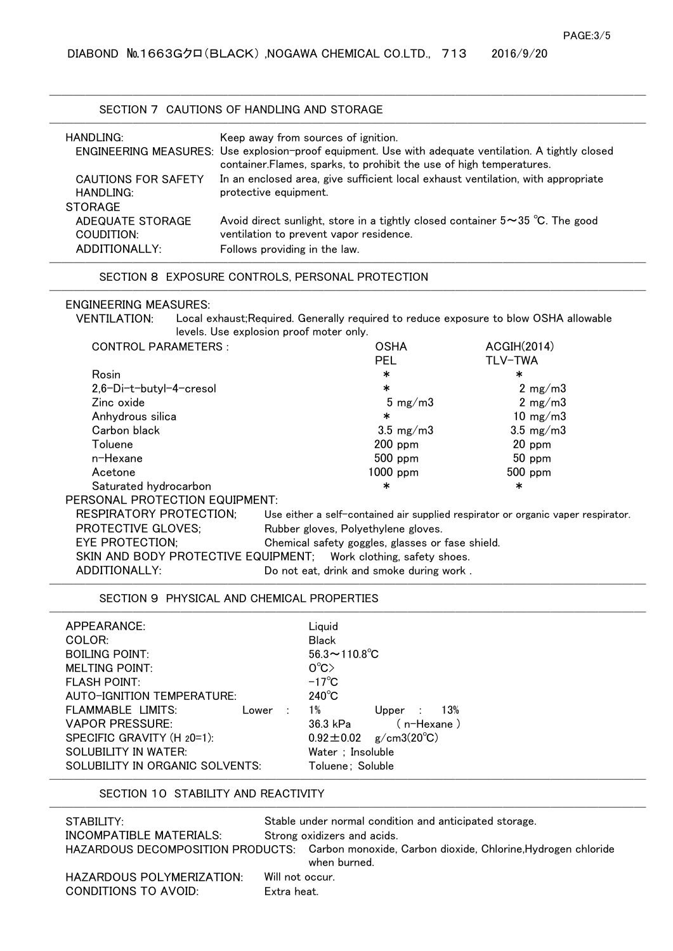## SECTION 7 CAUTIONS OF HANDLING AND STORAGE

| HANDLING:                                          | Keep away from sources of ignition.                                                                                                                                          |
|----------------------------------------------------|------------------------------------------------------------------------------------------------------------------------------------------------------------------------------|
|                                                    | ENGINEERING MEASURES: Use explosion-proof equipment. Use with adequate ventilation. A tightly closed<br>container. Flames, sparks, to prohibit the use of high temperatures. |
| CAUTIONS FOR SAFETY<br>HANDLING:<br><b>STORAGE</b> | In an enclosed area, give sufficient local exhaust ventilation, with appropriate<br>protective equipment.                                                                    |
| ADEQUATE STORAGE<br>COUDITION:                     | Avoid direct sunlight, store in a tightly closed container $5 \sim 35$ °C. The good<br>ventilation to prevent vapor residence.                                               |
| ADDITIONALLY:                                      | Follows providing in the law.                                                                                                                                                |

──────────────────────────────────────

## SECTION 8 EXPOSURE CONTROLS, PERSONAL PROTECTION

### ENGINEERING MEASURES:

VENTILATION: Local exhaust;Required. Generally required to reduce exposure to blow OSHA allowable levels. Use explosion proof moter only.

──────────────────────────────────────────────────

| <b>CONTROL PARAMETERS:</b>     | <b>OSHA</b>                                                                      | <b>ACGIH(2014)</b>         |  |
|--------------------------------|----------------------------------------------------------------------------------|----------------------------|--|
|                                | <b>PEL</b>                                                                       | TLV-TWA                    |  |
| Rosin                          | $\ast$                                                                           | ∗                          |  |
| 2,6-Di-t-butyl-4-cresol        | $\ast$                                                                           | 2 $mg/m3$                  |  |
| Zinc oxide                     | $5 \text{ mg}/\text{m}3$                                                         | 2 $mg/m3$                  |  |
| Anhydrous silica               | $\ast$                                                                           | 10 mg/m $3$                |  |
| Carbon black                   | $3.5 \text{ mg}/\text{m}$                                                        | $3.5 \text{ mg}/\text{m}3$ |  |
| Toluene                        | $200$ ppm                                                                        | $20$ ppm                   |  |
| n-Hexane                       | $500$ ppm                                                                        | $50$ ppm                   |  |
| Acetone                        | $1000$ ppm                                                                       | $500$ ppm                  |  |
| Saturated hydrocarbon          | $\ast$                                                                           | ∗                          |  |
| PERSONAL PROTECTION EQUIPMENT: |                                                                                  |                            |  |
| <b>RESPIRATORY PROTECTION;</b> | Use either a self-contained air supplied respirator or organic vaper respirator. |                            |  |
| <b>PROTECTIVE GLOVES:</b>      | Rubber gloves, Polyethylene gloves.                                              |                            |  |
| <b>EYE PROTECTION:</b>         | Chemical safety goggles, glasses or fase shield.                                 |                            |  |
|                                | SKIN AND BODY PROTECTIVE EQUIPMENT; Work clothing, safety shoes.                 |                            |  |
| ADDITIONALLY:                  | Do not eat, drink and smoke during work.                                         |                            |  |

──────────────────────────────────────

### SECTION 9 PHYSICAL AND CHEMICAL PROPERTIES

| APPEARANCE:                     | Liquid                                  |
|---------------------------------|-----------------------------------------|
| COLOR:                          | <b>Black</b>                            |
| <b>BOILING POINT:</b>           | $56.3 \sim 110.8^{\circ}$ C             |
| <b>MELTING POINT:</b>           | $O^{\circ}C$                            |
| <b>FLASH POINT:</b>             | $-17^{\circ}$ C                         |
| AUTO-IGNITION TEMPERATURE:      | $240^{\circ}$ C                         |
| FLAMMABLE LIMITS:<br>Lower      | 1%<br>13%<br>Upper                      |
| VAPOR PRESSURE:                 | (n-Hexane )<br>36.3 kPa                 |
| SPECIFIC GRAVITY (H 20=1):      | $g/cm3(20^{\circ}C)$<br>$0.92 \pm 0.02$ |
| SOLUBILITY IN WATER:            | Water ; Insoluble                       |
| SOLUBILITY IN ORGANIC SOLVENTS: | Toluene: Soluble                        |

### SECTION 10 STABILITY AND REACTIVITY

| STABILITY:                | Stable under normal condition and anticipated storage.                                         |
|---------------------------|------------------------------------------------------------------------------------------------|
| INCOMPATIBLE MATERIALS:   | Strong oxidizers and acids.                                                                    |
|                           | HAZARDOUS DECOMPOSITION PRODUCTS: Carbon monoxide, Carbon dioxide, Chlorine, Hydrogen chloride |
|                           | when burned.                                                                                   |
| HAZARDOUS POLYMERIZATION: | Will not occur.                                                                                |

HAZARDOUS POLYMERIZATION: CONDITIONS TO AVOID: Extra heat.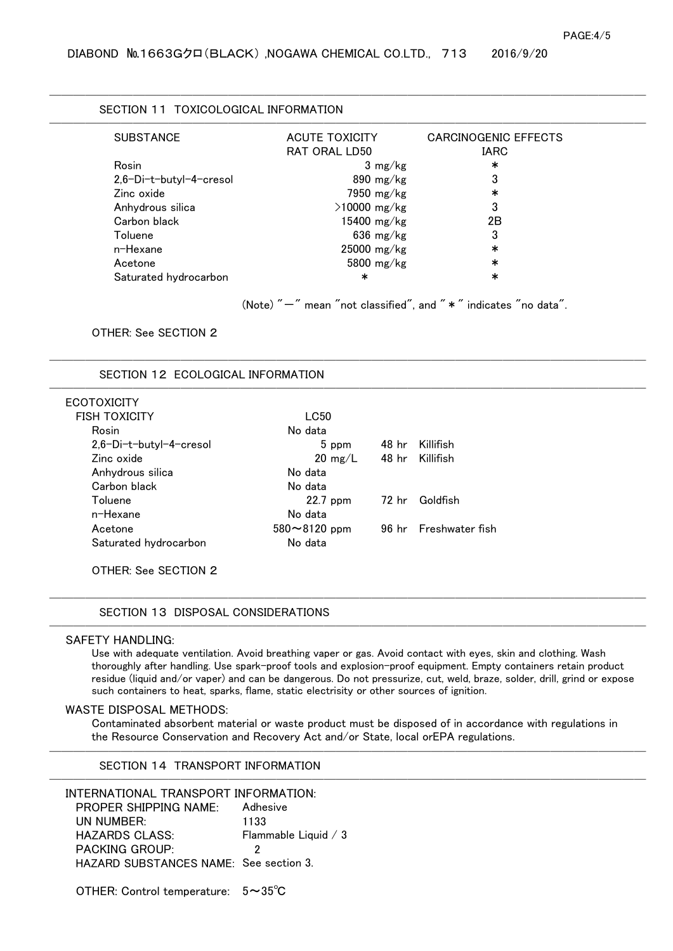| <b>SUBSTANCE</b>        | <b>ACUTE TOXICITY</b> | <b>CARCINOGENIC EFFECTS</b> |
|-------------------------|-----------------------|-----------------------------|
|                         | RAT ORAL LD50         | <b>IARC</b>                 |
| Rosin                   | $3 \text{ mg/kg}$     | ∗                           |
| 2,6-Di-t-butyl-4-cresol | $890$ mg/kg           | 3                           |
| Zinc oxide              | 7950 mg/kg            | ∗                           |
| Anhydrous silica        | $>10000$ mg/kg        | 3                           |
| Carbon black            | 15400 mg/kg           | 2Β                          |
| Toluene                 | $636 \text{ mg/kg}$   | 3                           |
| n-Hexane                | $25000$ mg/kg         | ∗                           |
| Acetone                 | 5800 $mg/kg$          | $\ast$                      |
| Saturated hydrocarbon   | $\ast$                | $\ast$                      |

──────────────────────────────────────────────────

──────────────────────────────────────────────────

──────────────────────────────────────

(Note)  $" -"$  mean "not classified", and  $" *"$  indicates "no data".

### OTHER: See SECTION 2

SECTION 12 ECOLOGICAL INFORMATION

## **ECOTOXICITY**

| FISH TOXICITY             | LC50              |                 |                       |
|---------------------------|-------------------|-----------------|-----------------------|
| Rosin                     | No data           |                 |                       |
| $2,6-Di-t-butyl-4-cresol$ | 5 ppm             | 48 hr           | Killifish             |
| Zinc oxide                | $20 \text{ mg/L}$ | 48 hr Killifish |                       |
| Anhydrous silica          | No data           |                 |                       |
| Carbon black              | No data           |                 |                       |
| Toluene                   | $22.7$ ppm        |                 | 72 hr Goldfish        |
| n-Hexane                  | No data           |                 |                       |
| Acetone                   | 580~8120 ppm      |                 | 96 hr Freshwater fish |
| Saturated hydrocarbon     | No data           |                 |                       |
|                           |                   |                 |                       |

OTHER: See SECTION 2

## SECTION 13 DISPOSAL CONSIDERATIONS

## SAFETY HANDLING:

Use with adequate ventilation. Avoid breathing vaper or gas. Avoid contact with eyes, skin and clothing. Wash thoroughly after handling. Use spark-proof tools and explosion-proof equipment. Empty containers retain product residue (liquid and/or vaper) and can be dangerous. Do not pressurize, cut, weld, braze, solder, drill, grind or expose such containers to heat, sparks, flame, static electrisity or other sources of ignition.

──────────────────────────────────────

──────────────────────────────────────

### WASTE DISPOSAL METHODS:

Contaminated absorbent material or waste product must be disposed of in accordance with regulations in the Resource Conservation and Recovery Act and/or State, local orEPA regulations.

──────────────────────────────────────────────────

──────────────────────────────────────────────────

SECTION 14 TRANSPORT INFORMATION

INTERNATIONAL TRANSPORT INFORMATION: PROPER SHIPPING NAME: Adhesive UN NUMBER: HAZARDS CLASS: Flammable Liquid / 3 PACKING GROUP: 2 HAZARD SUBSTANCES NAME: See section 3. 1133

OTHER: Control temperature: 5~35℃